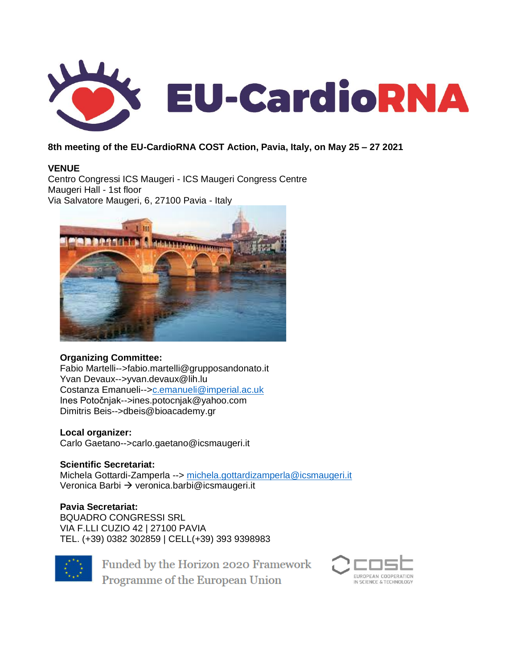

### **8th meeting of the EU-CardioRNA COST Action, Pavia, Italy, on May 25 – 27 2021**

### **VENUE**

Centro Congressi ICS Maugeri - ICS Maugeri Congress Centre Maugeri Hall - 1st floor Via Salvatore Maugeri, 6, 27100 Pavia - Italy



### **Organizing Committee:**

Fabio Martelli-->fabio.martelli@grupposandonato.it Yvan Devaux-->yvan.devaux@lih.lu Costanza Emanueli--[>c.emanueli@imperial.ac.uk](mailto:c.emanueli@imperial.ac.uk) Ines Potočnjak-->ines.potocnjak@yahoo.com Dimitris Beis-->dbeis@bioacademy.gr

### **Local organizer:**

Carlo Gaetano-->carlo.gaetano@icsmaugeri.it

**Scientific Secretariat:** Michela Gottardi-Zamperla --> [michela.gottardizamperla@icsmaugeri.it](mailto:michela.gottardizamperla@icsmaugeri.it) Veronica Barbi → veronica.barbi@icsmaugeri.it

#### **Pavia Secretariat:**

BQUADRO CONGRESSI SRL VIA F.LLI CUZIO 42 | 27100 PAVIA TEL. (+39) 0382 302859 | CELL(+39) 393 9398983



Funded by the Horizon 2020 Framework Programme of the European Union

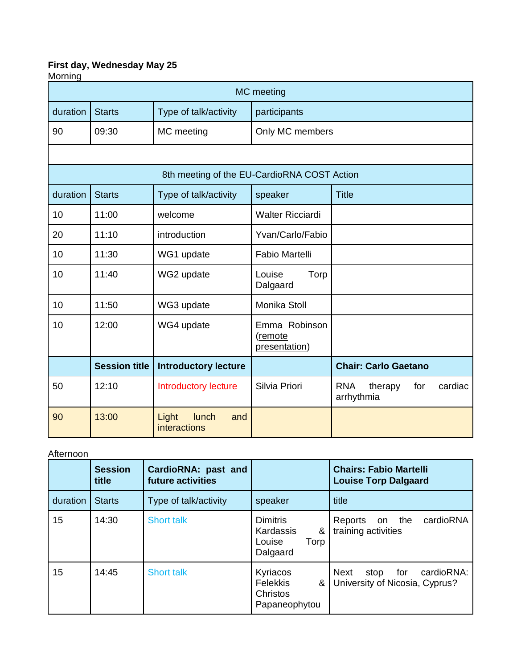# **First day, Wednesday May 25**

| Morning<br>MC meeting |                                                        |                                             |                                           |                                                       |  |  |
|-----------------------|--------------------------------------------------------|---------------------------------------------|-------------------------------------------|-------------------------------------------------------|--|--|
| duration              | <b>Starts</b><br>Type of talk/activity<br>participants |                                             |                                           |                                                       |  |  |
| 90                    | 09:30                                                  | MC meeting                                  | Only MC members                           |                                                       |  |  |
|                       |                                                        |                                             |                                           |                                                       |  |  |
|                       |                                                        | 8th meeting of the EU-CardioRNA COST Action |                                           |                                                       |  |  |
| duration              | <b>Starts</b>                                          | Type of talk/activity                       | speaker                                   | <b>Title</b>                                          |  |  |
| 10                    | 11:00                                                  | welcome                                     | <b>Walter Ricciardi</b>                   |                                                       |  |  |
| 20                    | 11:10                                                  | introduction                                | Yvan/Carlo/Fabio                          |                                                       |  |  |
| 10                    | 11:30                                                  | WG1 update                                  | Fabio Martelli                            |                                                       |  |  |
| 10                    | 11:40                                                  | WG2 update                                  | Torp<br>Louise<br>Dalgaard                |                                                       |  |  |
| 10                    | 11:50                                                  | WG3 update                                  | Monika Stoll                              |                                                       |  |  |
| 10                    | 12:00                                                  | WG4 update                                  | Emma Robinson<br>(remote<br>presentation) |                                                       |  |  |
|                       | <b>Session title</b>                                   | <b>Introductory lecture</b>                 |                                           | <b>Chair: Carlo Gaetano</b>                           |  |  |
| 50                    | 12:10                                                  | <b>Introductory lecture</b>                 | Silvia Priori                             | <b>RNA</b><br>therapy<br>cardiac<br>for<br>arrhythmia |  |  |
| 90                    | 13:00                                                  | Light<br>lunch<br>and<br>interactions       |                                           |                                                       |  |  |

### Afternoon

|          | <b>Session</b><br>title | CardioRNA: past and<br>future activities |                                                                 | <b>Chairs: Fabio Martelli</b><br><b>Louise Torp Dalgaard</b>            |
|----------|-------------------------|------------------------------------------|-----------------------------------------------------------------|-------------------------------------------------------------------------|
| duration | <b>Starts</b>           | Type of talk/activity                    | speaker                                                         | title                                                                   |
| 15       | 14:30                   | <b>Short talk</b>                        | <b>Dimitris</b><br>Kardassis<br>&<br>Louise<br>Torp<br>Dalgaard | cardioRNA<br>on the<br>Reports<br>training activities                   |
| 15       | 14:45                   | <b>Short talk</b>                        | Kyriacos<br><b>Felekkis</b><br>&<br>Christos<br>Papaneophytou   | cardioRNA:<br><b>Next</b><br>stop for<br>University of Nicosia, Cyprus? |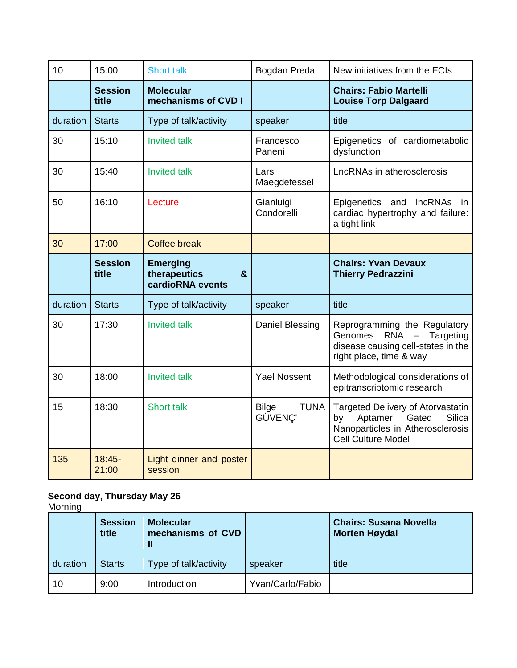| 10       | 15:00                   | <b>Short talk</b>                                        | Bogdan Preda                           | New initiatives from the ECIs                                                                                                                        |
|----------|-------------------------|----------------------------------------------------------|----------------------------------------|------------------------------------------------------------------------------------------------------------------------------------------------------|
|          | <b>Session</b><br>title | <b>Molecular</b><br>mechanisms of CVD I                  |                                        | <b>Chairs: Fabio Martelli</b><br><b>Louise Torp Dalgaard</b>                                                                                         |
| duration | <b>Starts</b>           | Type of talk/activity                                    | speaker                                | title                                                                                                                                                |
| 30       | 15:10                   | <b>Invited talk</b>                                      | Francesco<br>Paneni                    | Epigenetics of cardiometabolic<br>dysfunction                                                                                                        |
| 30       | 15:40                   | <b>Invited talk</b>                                      | Lars<br>Maegdefessel                   | LncRNAs in atherosclerosis                                                                                                                           |
| 50       | 16:10                   | Lecture                                                  | Gianluigi<br>Condorelli                | Epigenetics and<br><b>IncRNAs</b><br>in.<br>cardiac hypertrophy and failure:<br>a tight link                                                         |
| 30       | 17:00                   | <b>Coffee break</b>                                      |                                        |                                                                                                                                                      |
|          | <b>Session</b><br>title | <b>Emerging</b><br>therapeutics<br>&<br>cardioRNA events |                                        | <b>Chairs: Yvan Devaux</b><br><b>Thierry Pedrazzini</b>                                                                                              |
| duration | <b>Starts</b>           | Type of talk/activity                                    | speaker                                | title                                                                                                                                                |
| 30       |                         |                                                          |                                        |                                                                                                                                                      |
|          | 17:30                   | <b>Invited talk</b>                                      | Daniel Blessing                        | Reprogramming the Regulatory<br>Genomes<br>$RNA -$<br>Targeting<br>disease causing cell-states in the<br>right place, time & way                     |
| 30       | 18:00                   | <b>Invited talk</b>                                      | <b>Yael Nossent</b>                    | Methodological considerations of<br>epitranscriptomic research                                                                                       |
| 15       | 18:30                   | <b>Short talk</b>                                        | <b>Bilge</b><br><b>TUNA</b><br>GÜVENÇ' | <b>Targeted Delivery of Atorvastatin</b><br>Gated<br>Aptamer<br><b>Silica</b><br>by<br>Nanoparticles in Atherosclerosis<br><b>Cell Culture Model</b> |

## **Second day, Thursday May 26**

Morning

|          | <b>Session</b><br>title | <b>Molecular</b><br>mechanisms of CVD<br>Ш |                  | <b>Chairs: Susana Novella</b><br><b>Morten Høydal</b> |
|----------|-------------------------|--------------------------------------------|------------------|-------------------------------------------------------|
| duration | <b>Starts</b>           | Type of talk/activity                      | speaker          | title                                                 |
| l 10     | 9:00                    | Introduction                               | Yvan/Carlo/Fabio |                                                       |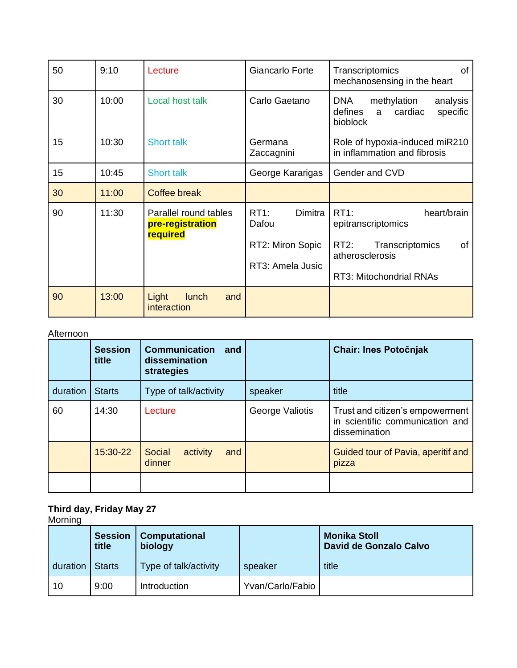| 50 | 9:10  | Lecture                                               | Giancarlo Forte                                                     | 0f<br>Transcriptomics<br>mechanosensing in the heart                                                                               |
|----|-------|-------------------------------------------------------|---------------------------------------------------------------------|------------------------------------------------------------------------------------------------------------------------------------|
| 30 | 10:00 | Local host talk                                       | Carlo Gaetano                                                       | <b>DNA</b><br>methylation<br>analysis<br>defines<br>cardiac<br>specific<br>a<br>bioblock                                           |
| 15 | 10:30 | <b>Short talk</b>                                     | Germana<br>Zaccagnini                                               | Role of hypoxia-induced miR210<br>in inflammation and fibrosis                                                                     |
| 15 | 10:45 | <b>Short talk</b>                                     | George Kararigas                                                    | Gender and CVD                                                                                                                     |
| 30 | 11:00 | <b>Coffee break</b>                                   |                                                                     |                                                                                                                                    |
| 90 | 11:30 | Parallel round tables<br>pre-registration<br>required | $RT1$ :<br>Dimitra<br>Dafou<br>RT2: Miron Sopic<br>RT3: Amela Jusic | RT1:<br>heart/brain<br>epitranscriptomics<br>$RT2$ :<br>Transcriptomics<br>of<br>atherosclerosis<br><b>RT3: Mitochondrial RNAs</b> |
| 90 | 13:00 | Light<br>lunch<br>and<br>interaction                  |                                                                     |                                                                                                                                    |

### Afternoon

|          | <b>Session</b><br>title | <b>Communication</b><br>and<br>dissemination<br>strategies |                 | <b>Chair: Ines Potočnjak</b>                                                        |
|----------|-------------------------|------------------------------------------------------------|-----------------|-------------------------------------------------------------------------------------|
| duration | <b>Starts</b>           | Type of talk/activity                                      | speaker         | title                                                                               |
| 60       | 14:30                   | Lecture                                                    | George Valiotis | Trust and citizen's empowerment<br>in scientific communication and<br>dissemination |
|          | 15:30-22                | Social<br>activity<br>and<br>dinner                        |                 | Guided tour of Pavia, aperitif and<br>pizza                                         |
|          |                         |                                                            |                 |                                                                                     |

### **Third day, Friday May 27**

Morning

|          | <b>Session</b><br>title | <b>Computational</b><br>biology |                  | <b>Monika Stoll</b><br>David de Gonzalo Calvo |
|----------|-------------------------|---------------------------------|------------------|-----------------------------------------------|
| duration | <b>Starts</b>           | Type of talk/activity           | speaker          | title                                         |
| 10       | 9:00                    | <b>Introduction</b>             | Yvan/Carlo/Fabio |                                               |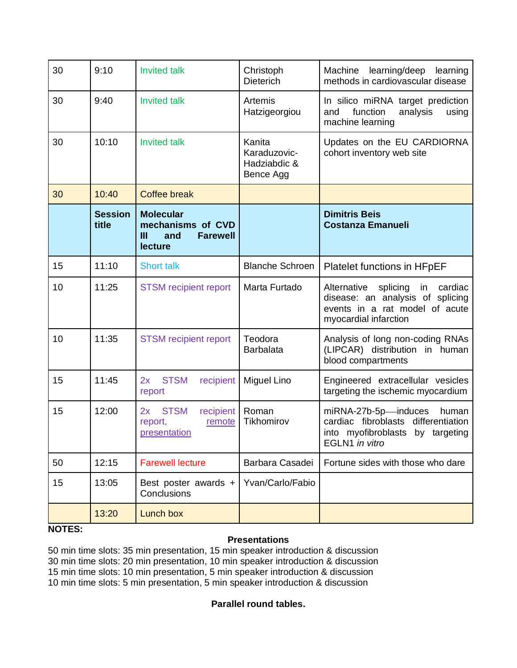| 30 | 9:10                    | <b>Invited talk</b>                                                             | Christoph<br><b>Dieterich</b>                       | Machine<br>learning/deep<br>learning<br>methods in cardiovascular disease                                                               |
|----|-------------------------|---------------------------------------------------------------------------------|-----------------------------------------------------|-----------------------------------------------------------------------------------------------------------------------------------------|
| 30 | 9:40                    | <b>Invited talk</b>                                                             | Artemis<br>Hatzigeorgiou                            | In silico miRNA target prediction<br>function<br>analysis<br>using<br>and<br>machine learning                                           |
| 30 | 10:10                   | <b>Invited talk</b>                                                             | Kanita<br>Karaduzovic-<br>Hadziabdic &<br>Bence Agg | Updates on the EU CARDIORNA<br>cohort inventory web site                                                                                |
| 30 | 10:40                   | <b>Coffee break</b>                                                             |                                                     |                                                                                                                                         |
|    | <b>Session</b><br>title | <b>Molecular</b><br>mechanisms of CVD<br>Ш<br><b>Farewell</b><br>and<br>lecture |                                                     | <b>Dimitris Beis</b><br><b>Costanza Emanueli</b>                                                                                        |
| 15 | 11:10                   | <b>Short talk</b>                                                               | <b>Blanche Schroen</b>                              | Platelet functions in HFpEF                                                                                                             |
| 10 | 11:25                   | <b>STSM</b> recipient report                                                    | Marta Furtado                                       | Alternative<br>splicing<br>in<br>cardiac<br>disease: an analysis of splicing<br>events in a rat model of acute<br>myocardial infarction |
| 10 | 11:35                   | <b>STSM</b> recipient report                                                    | Teodora<br><b>Barbalata</b>                         | Analysis of long non-coding RNAs<br>(LIPCAR) distribution in human<br>blood compartments                                                |
| 15 | 11:45                   | <b>STSM</b><br>2x<br>recipient<br>report                                        | Miguel Lino                                         | Engineered extracellular vesicles<br>targeting the ischemic myocardium                                                                  |
| 15 | 12:00                   | <b>STSM</b><br>2x<br>recipient<br>remote<br>report,<br>presentation             | Roman<br>Tikhomirov                                 | miRNA-27b-5p-induces<br>human<br>cardiac fibroblasts differentiation<br>into myofibroblasts by targeting<br>EGLN1 in vitro              |
| 50 | 12:15                   | <b>Farewell lecture</b>                                                         | Barbara Casadei                                     | Fortune sides with those who dare                                                                                                       |
| 15 | 13:05                   | Best poster awards +<br>Conclusions                                             | Yvan/Carlo/Fabio                                    |                                                                                                                                         |
|    | 13:20                   | Lunch box                                                                       |                                                     |                                                                                                                                         |

### **NOTES:**

### **Presentations**

50 min time slots: 35 min presentation, 15 min speaker introduction & discussion 30 min time slots: 20 min presentation, 10 min speaker introduction & discussion 15 min time slots: 10 min presentation, 5 min speaker introduction & discussion 10 min time slots: 5 min presentation, 5 min speaker introduction & discussion

### **Parallel round tables.**